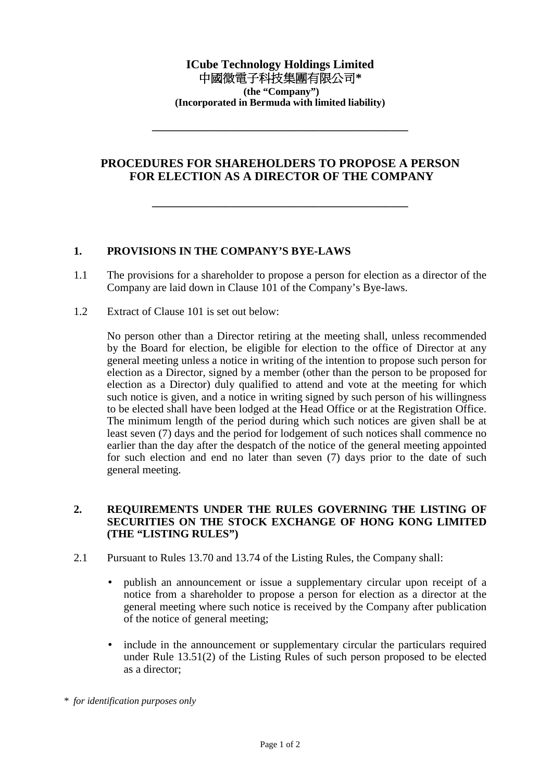### **ICube Technology Holdings Limited**  中國微電子科技集團有限公司**\* (the "Company") (Incorporated in Bermuda with limited liability)**

# **PROCEDURES FOR SHAREHOLDERS TO PROPOSE A PERSON FOR ELECTION AS A DIRECTOR OF THE COMPANY**

**\_\_\_\_\_\_\_\_\_\_\_\_\_\_\_\_\_\_\_\_\_\_\_\_\_\_\_\_\_\_\_\_\_\_\_\_\_\_\_\_\_\_\_\_\_\_** 

**\_\_\_\_\_\_\_\_\_\_\_\_\_\_\_\_\_\_\_\_\_\_\_\_\_\_\_\_\_\_\_\_\_\_\_\_\_\_\_\_\_\_\_\_\_\_** 

### **1. PROVISIONS IN THE COMPANY'S BYE-LAWS**

- 1.1 The provisions for a shareholder to propose a person for election as a director of the Company are laid down in Clause 101 of the Company's Bye-laws.
- 1.2 Extract of Clause 101 is set out below:

No person other than a Director retiring at the meeting shall, unless recommended by the Board for election, be eligible for election to the office of Director at any general meeting unless a notice in writing of the intention to propose such person for election as a Director, signed by a member (other than the person to be proposed for election as a Director) duly qualified to attend and vote at the meeting for which such notice is given, and a notice in writing signed by such person of his willingness to be elected shall have been lodged at the Head Office or at the Registration Office. The minimum length of the period during which such notices are given shall be at least seven (7) days and the period for lodgement of such notices shall commence no earlier than the day after the despatch of the notice of the general meeting appointed for such election and end no later than seven (7) days prior to the date of such general meeting.

#### **2. REQUIREMENTS UNDER THE RULES GOVERNING THE LISTING OF SECURITIES ON THE STOCK EXCHANGE OF HONG KONG LIMITED (THE "LISTING RULES")**

- 2.1 Pursuant to Rules 13.70 and 13.74 of the Listing Rules, the Company shall:
	- publish an announcement or issue a supplementary circular upon receipt of a notice from a shareholder to propose a person for election as a director at the general meeting where such notice is received by the Company after publication of the notice of general meeting;
	- include in the announcement or supplementary circular the particulars required under Rule 13.51(2) of the Listing Rules of such person proposed to be elected as a director;

*<sup>\*</sup> for identification purposes only*